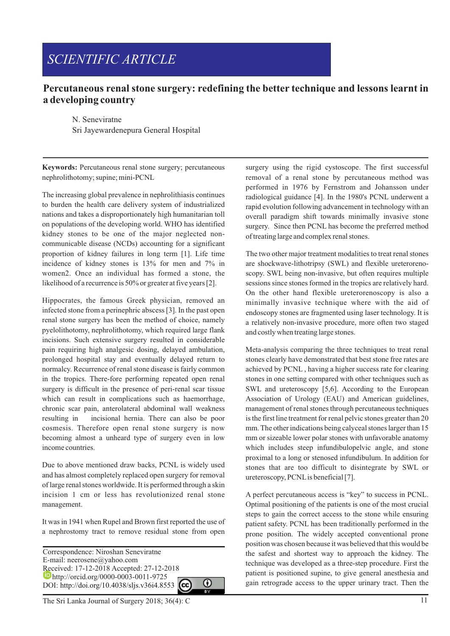# *SCIENTIFIC ARTICLE*

## **Percutaneous renal stone surgery: redefining the better technique and lessons learnt in a developing country**

N. Seneviratne Sri Jayewardenepura General Hospital

**Keywords:** Percutaneous renal stone surgery; percutaneous nephrolithotomy; supine; mini-PCNL

The increasing global prevalence in nephrolithiasis continues to burden the health care delivery system of industrialized nations and takes a disproportionately high humanitarian toll on populations of the developing world. WHO has identified kidney stones to be one of the major neglected noncommunicable disease (NCDs) accounting for a significant proportion of kidney failures in long term [1]. Life time incidence of kidney stones is 13% for men and 7% in women2. Once an individual has formed a stone, the likelihood of a recurrence is 50% or greater at five years [2].

Hippocrates, the famous Greek physician, removed an infected stone from a perinephric abscess [3]. In the past open renal stone surgery has been the method of choice, namely pyelolithotomy, nephrolithotomy, which required large flank incisions. Such extensive surgery resulted in considerable pain requiring high analgesic dosing, delayed ambulation, prolonged hospital stay and eventually delayed return to normalcy. Recurrence of renal stone disease is fairly common in the tropics. There-fore performing repeated open renal surgery is difficult in the presence of peri-renal scar tissue which can result in complications such as haemorrhage, chronic scar pain, anterolateral abdominal wall weakness resulting in incisional hernia. There can also be poor cosmesis. Therefore open renal stone surgery is now becoming almost a unheard type of surgery even in low income countries.

Due to above mentioned draw backs, PCNL is widely used and has almost completely replaced open surgery for removal of large renal stones worldwide. It is performed through a skin incision 1 cm or less has revolutionized renal stone management.

It was in 1941 when Rupel and Brown first reported the use of a nephrostomy tract to remove residual stone from open

Correspondence: Niroshan Seneviratne E-mail: neerosene@yahoo.com Received: 17-12-2018 Accepted: 27-12-2018 http://orcid.org/0000-0003-0011-9725 ⋒ DOI: http://doi.org/10.4038/sljs.v36i4.8553

surgery using the rigid cystoscope. The first successful removal of a renal stone by percutaneous method was performed in 1976 by Fernstrom and Johansson under radiological guidance [4]. In the 1980's PCNL underwent a rapid evolution following advancement in technology with an overall paradigm shift towards minimally invasive stone surgery. Since then PCNL has become the preferred method of treating large and complex renal stones.

The two other major treatment modalities to treat renal stones are shockwave-lithotripsy (SWL) and flexible ureterorenoscopy. SWL being non-invasive, but often requires multiple sessions since stones formed in the tropics are relatively hard. On the other hand flexible ureterorenoscopy is also a minimally invasive technique where with the aid of endoscopy stones are fragmented using laser technology. It is a relatively non-invasive procedure, more often two staged and costly when treating large stones.

Meta-analysis comparing the three techniques to treat renal stones clearly have demonstrated that best stone free rates are achieved by PCNL , having a higher success rate for clearing stones in one setting compared with other techniques such as SWL and ureteroscopy [5,6]. According to the European Association of Urology (EAU) and American guidelines, management of renal stones through percutaneous techniques is the first line treatment for renal pelvic stones greater than 20 mm. The other indications being calveed stones larger than 15 mm or sizeable lower polar stones with unfavorable anatomy which includes steep infundibulopelvic angle, and stone proximal to a long or stenosed infundibulum. In addition for stones that are too difficult to disintegrate by SWL or ureteroscopy, PCNLis beneficial [7].

A perfect percutaneous access is "key" to success in PCNL. Optimal positioning of the patients is one of the most crucial steps to gain the correct access to the stone while ensuring patient safety. PCNL has been traditionally performed in the prone position. The widely accepted conventional prone position was chosen because it was believed that this would be the safest and shortest way to approach the kidney. The technique was developed as a three-step procedure. First the patient is positioned supine, to give general anesthesia and gain retrograde access to the upper urinary tract. Then the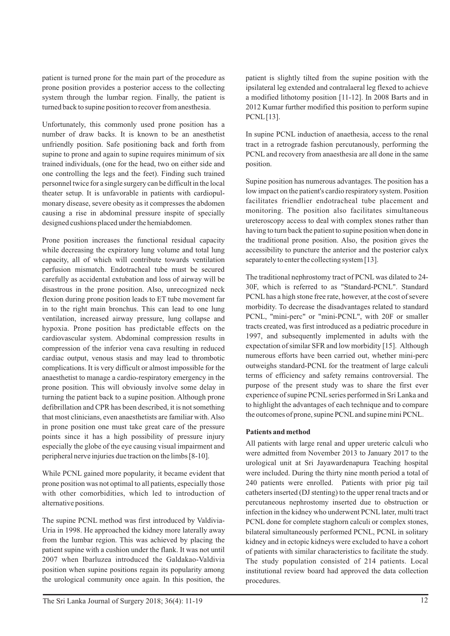patient is turned prone for the main part of the procedure as prone position provides a posterior access to the collecting system through the lumbar region. Finally, the patient is turned back to supine position to recover from anesthesia.

Unfortunately, this commonly used prone position has a number of draw backs. It is known to be an anesthetist unfriendly position. Safe positioning back and forth from supine to prone and again to supine requires minimum of six trained individuals, (one for the head, two on either side and one controlling the legs and the feet). Finding such trained personnel twice for a single surgery can be difficult in the local theater setup. It is unfavorable in patients with cardiopulmonary disease, severe obesity as it compresses the abdomen causing a rise in abdominal pressure inspite of specially designed cushions placed under the hemiabdomen.

Prone position increases the functional residual capacity while decreasing the expiratory lung volume and total lung capacity, all of which will contribute towards ventilation perfusion mismatch. Endotracheal tube must be secured carefully as accidental extubation and loss of airway will be disastrous in the prone position. Also, unrecognized neck flexion during prone position leads to ET tube movement far in to the right main bronchus. This can lead to one lung ventilation, increased airway pressure, lung collapse and hypoxia. Prone position has predictable effects on the cardiovascular system. Abdominal compression results in compression of the inferior vena cava resulting in reduced cardiac output, venous stasis and may lead to thrombotic complications. It is very difficult or almost impossible for the anaesthetist to manage a cardio-respiratory emergency in the prone position. This will obviously involve some delay in turning the patient back to a supine position. Although prone defibrillation and CPR has been described, it is not something that most clinicians, even anaesthetists are familiar with. Also in prone position one must take great care of the pressure points since it has a high possibility of pressure injury especially the globe of the eye causing visual impairment and peripheral nerve injuries due traction on the limbs [8-10].

While PCNL gained more popularity, it became evident that prone position was not optimal to all patients, especially those with other comorbidities, which led to introduction of alternative positions.

The supine PCNL method was first introduced by Valdivia-Uria in 1998. He approached the kidney more laterally away from the lumbar region. This was achieved by placing the patient supine with a cushion under the flank. It was not until 2007 when Ibarluzea introduced the Galdakao-Valdivia position when supine positions regain its popularity among the urological community once again. In this position, the

patient is slightly tilted from the supine position with the ipsilateral leg extended and contralaeral leg flexed to achieve a modified lithotomy position [11-12]. In 2008 Barts and in 2012 Kumar further modified this position to perform supine PCNL[13].

In supine PCNL induction of anaethesia, access to the renal tract in a retrograde fashion percutanously, performing the PCNL and recovery from anaesthesia are all done in the same position.

Supine position has numerous advantages. The position has a low impact on the patient's cardio respiratory system. Position facilitates friendlier endotracheal tube placement and monitoring. The position also facilitates simultaneous ureteroscopy access to deal with complex stones rather than having to turn back the patient to supine position when done in the traditional prone position. Also, the position gives the accessibility to puncture the anterior and the posterior calyx separately to enter the collecting system [13].

The traditional nephrostomy tract of PCNL was dilated to 24- 30F, which is referred to as "Standard-PCNL". Standard PCNLhas a high stone free rate, however, at the cost of severe morbidity. To decrease the disadvantages related to standard PCNL, "mini-perc" or "mini-PCNL", with 20F or smaller tracts created, was first introduced as a pediatric procedure in 1997, and subsequently implemented in adults with the expectation of similar SFR and low morbidity [15]. Although numerous efforts have been carried out, whether mini-perc outweighs standard-PCNL for the treatment of large calculi terms of efficiency and safety remains controversial. The purpose of the present study was to share the first ever experience of supine PCNLseries performed in Sri Lanka and to highlight the advantages of each technique and to compare the outcomes of prone, supine PCNLand supine mini PCNL.

#### **Patients and method**

All patients with large renal and upper ureteric calculi who were admitted from November 2013 to January 2017 to the urological unit at Sri Jayawardenapura Teaching hospital were included. During the thirty nine month period a total of 240 patients were enrolled. Patients with prior pig tail catheters inserted (DJ stenting) to the upper renal tracts and or percutaneous nephrostomy inserted due to obstruction or infection in the kidney who underwent PCNLlater, multi tract PCNL done for complete staghorn calculi or complex stones, bilateral simultaneously performed PCNL, PCNL in solitary kidney and in ectopic kidneys were excluded to have a cohort of patients with similar characteristics to facilitate the study. The study population consisted of 214 patients. Local institutional review board had approved the data collection procedures.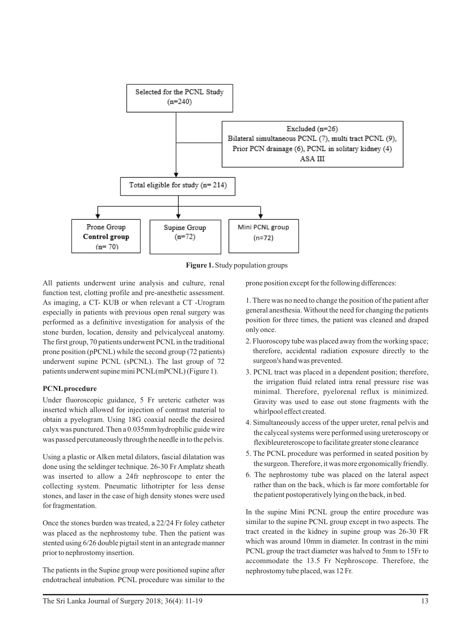

**Figure 1.** Study population groups

All patients underwent urine analysis and culture, renal function test, clotting profile and pre-anesthetic assessment. As imaging, a CT- KUB or when relevant a CT -Urogram especially in patients with previous open renal surgery was performed as a definitive investigation for analysis of the stone burden, location, density and pelvicalyceal anatomy. The first group, 70 patients underwent PCNLin the traditional prone position (pPCNL) while the second group (72 patients) underwent supine PCNL (sPCNL). The last group of 72 patients underwent supine mini PCNL(mPCNL) (Figure 1).

## **PCNLprocedure**

Under fluoroscopic guidance, 5 Fr ureteric catheter was inserted which allowed for injection of contrast material to obtain a pyelogram. Using 18G coaxial needle the desired calyx was punctured. Then a 0.035mm hydrophilic guide wire was passed percutaneously through the needle in to the pelvis.

Using a plastic or Alken metal dilators, fascial dilatation was done using the seldinger technique. 26-30 Fr Amplatz sheath was inserted to allow a 24fr nephroscope to enter the collecting system. Pneumatic lithotripter for less dense stones, and laser in the case of high density stones were used for fragmentation.

Once the stones burden was treated, a 22/24 Fr foley catheter was placed as the nephrostomy tube. Then the patient was stented using 6/26 double pigtail stent in an antegrade manner prior to nephrostomy insertion.

The patients in the Supine group were positioned supine after endotracheal intubation. PCNL procedure was similar to the prone position except for the following differences:

1. There was no need to change the position of the patient after general anesthesia. Without the need for changing the patients position for three times, the patient was cleaned and draped only once.

- 2. Fluoroscopy tube was placed away from the working space; therefore, accidental radiation exposure directly to the surgeon's hand was prevented.
- 3. PCNL tract was placed in a dependent position; therefore, the irrigation fluid related intra renal pressure rise was minimal. Therefore, pyelorenal reflux is minimized. Gravity was used to ease out stone fragments with the whirlpool effect created.
- 4. Simultaneously access of the upper ureter, renal pelvis and the calyceal systems were performed using ureteroscopy or flexibleureteroscope to facilitate greater stone clearance
- 5. The PCNL procedure was performed in seated position by the surgeon. Therefore, it was more ergonomically friendly.
- 6. The nephrostomy tube was placed on the lateral aspect rather than on the back, which is far more comfortable for the patient postoperatively lying on the back, in bed.

In the supine Mini PCNL group the entire procedure was similar to the supine PCNL group except in two aspects. The tract created in the kidney in supine group was 26-30 FR which was around 10mm in diameter. In contrast in the mini PCNL group the tract diameter was halved to 5mm to 15Fr to accommodate the 13.5 Fr Nephroscope. Therefore, the nephrostomy tube placed, was 12 Fr.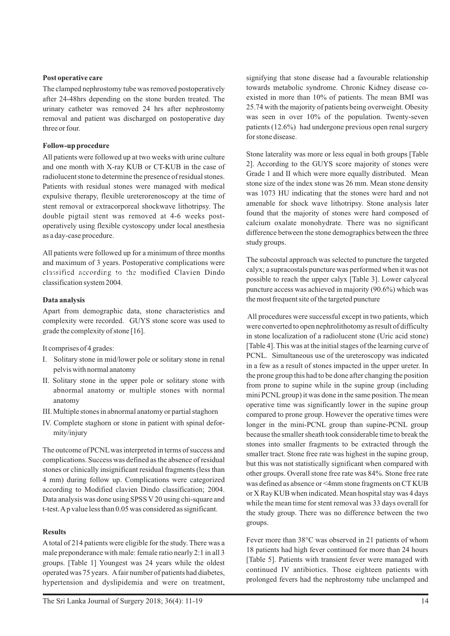#### **Post operative care**

The clamped nephrostomy tube was removed postoperatively after 24-48hrs depending on the stone burden treated. The urinary catheter was removed 24 hrs after nephrostomy removal and patient was discharged on postoperative day three or four.

#### **Follow-up procedure**

All patients were followed up at two weeks with urine culture and one month with X-ray KUB or CT-KUB in the case of radiolucent stone to determine the presence of residual stones. Patients with residual stones were managed with medical expulsive therapy, flexible ureterorenoscopy at the time of stent removal or extracorporeal shockwave lithotripsy. The double pigtail stent was removed at 4-6 weeks postoperatively using flexible cystoscopy under local anesthesia as a day-case procedure.

All patients were followed up for a minimum of three months and maximum of 3 years. Postoperative complications were classified according to the modified Clavien Dindo classified according to the modified Clavien Dindo classification system 2004.

#### **Data analysis**

Apart from demographic data, stone characteristics and complexity were recorded. GUYS stone score was used to grade the complexity of stone [16].

It comprises of 4 grades:

- I. Solitary stone in mid/lower pole or solitary stone in renal pelvis with normal anatomy
- II. Solitary stone in the upper pole or solitary stone with abnormal anatomy or multiple stones with normal anatomy
- III. Multiple stones in abnormal anatomy or partial staghorn
- IV. Complete staghorn or stone in patient with spinal deformity/injury

The outcome of PCNLwas interpreted in terms of success and complications. Success was defined as the absence of residual stones or clinically insignificant residual fragments (less than 4 mm) during follow up. Complications were categorized according to Modified clavien Dindo classification; 2004. Data analysis was done using SPSS V 20 using chi-square and t-test. Ap value less than 0.05 was considered as significant.

#### **Results**

Atotal of 214 patients were eligible for the study. There was a male preponderance with male: female ratio nearly 2:1 in all 3 groups. [Table 1] Youngest was 24 years while the oldest operated was 75 years. Afair number of patients had diabetes, hypertension and dyslipidemia and were on treatment, signifying that stone disease had a favourable relationship towards metabolic syndrome. Chronic Kidney disease coexisted in more than 10% of patients. The mean BMI was 25.74 with the majority of patients being overweight. Obesity was seen in over 10% of the population. Twenty-seven patients (12.6%) had undergone previous open renal surgery for stone disease.

Stone laterality was more or less equal in both groups [Table 2]. According to the GUYS score majority of stones were Grade 1 and II which were more equally distributed. Mean stone size of the index stone was 26 mm. Mean stone density was 1073 HU indicating that the stones were hard and not amenable for shock wave lithotripsy. Stone analysis later found that the majority of stones were hard composed of calcium oxalate monohydrate. There was no significant difference between the stone demographics between the three study groups.

The subcostal approach was selected to puncture the targeted calyx; a supracostals puncture was performed when it was not possible to reach the upper calyx [Table 3]. Lower calyceal puncture access was achieved in majority (90.6%) which was the most frequent site of the targeted puncture

All procedures were successful except in two patients, which were converted to open nephrolithotomy as result of difficulty in stone localization of a radiolucent stone (Uric acid stone) [Table 4]. This was at the initial stages of the learning curve of PCNL. Simultaneous use of the ureteroscopy was indicated in a few as a result of stones impacted in the upper ureter. In the prone group this had to be done after changing the position from prone to supine while in the supine group (including mini PCNLgroup) it was done in the same position. The mean operative time was significantly lower in the supine group compared to prone group. However the operative times were longer in the mini-PCNL group than supine-PCNL group because the smaller sheath took considerable time to break the stones into smaller fragments to be extracted through the smaller tract. Stone free rate was highest in the supine group, but this was not statistically significant when compared with other groups. Overall stone free rate was 84%. Stone free rate was defined as absence or <4mm stone fragments on CTKUB or X Ray KUB when indicated. Mean hospital stay was 4 days while the mean time for stent removal was 33 days overall for the study group. There was no difference between the two groups.

Fever more than 38°C was observed in 21 patients of whom 18 patients had high fever continued for more than 24 hours [Table 5]. Patients with transient fever were managed with continued IV antibiotics. Those eighteen patients with prolonged fevers had the nephrostomy tube unclamped and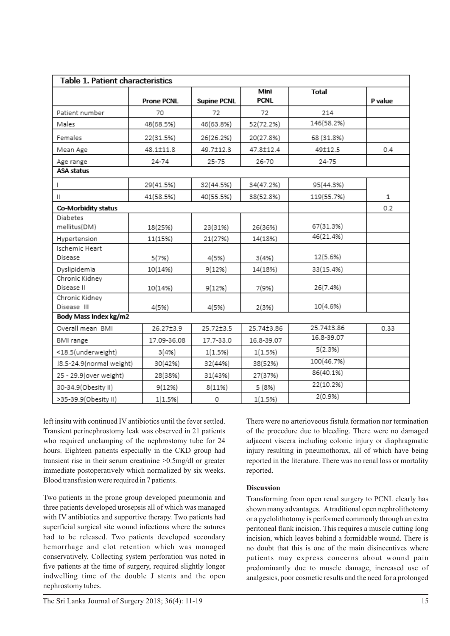| Table 1. Patient characteristics |                   |                    |                     |            |         |  |  |
|----------------------------------|-------------------|--------------------|---------------------|------------|---------|--|--|
|                                  | <b>Prone PCNL</b> | <b>Supine PCNL</b> | Mini<br><b>PCNL</b> | Total      | P value |  |  |
| Patient number                   | 70                | 72                 | 72                  | 214        |         |  |  |
| Males                            | 48(68.5%)         | 46(63.8%)          | 52(72.2%)           | 146(58.2%) |         |  |  |
| Females                          | 22(31.5%)         | 26(26.2%)          | 20(27.8%)           | 68 (31.8%) |         |  |  |
| Mean Age                         | 48.1±11.8         | 49.7±12.3          | 47.8±12.4           | 49±12.5    | 0.4     |  |  |
| Age range                        | 24-74             | 25-75              | 26-70               | 24-75      |         |  |  |
| ASA status                       |                   |                    |                     |            |         |  |  |
| $\mathsf{I}$                     | 29(41.5%)         | 32(44.5%)          | 34(47.2%)           | 95(44.3%)  |         |  |  |
| $\mathbf{H}$                     | 41(58.5%)         | 40(55.5%)          | 38(52.8%)           | 119(55.7%) | 1       |  |  |
| Co-Morbidity status              |                   |                    |                     |            | 0.2     |  |  |
| <b>Diabetes</b><br>mellitus(DM)  | 18(25%)           | 23(31%)            | 26(36%)             | 67(31.3%)  |         |  |  |
| Hypertension                     | 11(15%)           | 21(27%)            | 14(18%)             | 46(21.4%)  |         |  |  |
| Ischemic Heart<br>Disease        | 5(7%)             | 4(5%)              | 3(4% )              | 12(5.6%)   |         |  |  |
| Dyslipidemia                     | 10(14%)           | 9(12%)             | 14(18%)             | 33(15.4%)  |         |  |  |
| Chronic Kidney<br>Disease II     | 10(14%)           | 9(12%)             | 7(9%)               | 26(7.4%)   |         |  |  |
| Chronic Kidney<br>Disease III    | 4(5%)             | 4(5%)              | 2(3%)               | 10(4.6%)   |         |  |  |
| Body Mass Index kg/m2            |                   |                    |                     |            |         |  |  |
| Overall mean BMI                 | 26.27±3.9         | 25.72±3.5          | 25.74±3.86          | 25.74±3.86 | 0.33    |  |  |
| BMI range                        | 17.09-36.08       | 17.7-33.0          | 16.8-39.07          | 16.8-39.07 |         |  |  |
| <18.5(underweight)               | 3(4% )            | 1(1.5%)            | 1(1.5%)             | 5(2.3%)    |         |  |  |
| !8.5-24.9(normal weight)         | 30(42%)           | 32(44%)            | 38(52%)             | 100(46.7%) |         |  |  |
| 25 - 29.9(over weight)           | 28(38%)           | 31(43%)            | 27(37%)             | 86(40.1%)  |         |  |  |
| 30-34.9(Obesity II)              | 9(12%)            | 8(11%)             | 5 (8%)              | 22(10.2%)  |         |  |  |
| >35-39.9(Obesity II)             | 1(1.5%)           | 0                  | 1(1.5%)             | 2(0.9%     |         |  |  |

left insitu with continued IV antibiotics until the fever settled. Transient perinephrostomy leak was observed in 21 patients who required unclamping of the nephrostomy tube for 24 hours. Eighteen patients especially in the CKD group had transient rise in their serum creatinine >0.5mg/dl or greater immediate postoperatively which normalized by six weeks. Blood transfusion were required in 7 patients.

Two patients in the prone group developed pneumonia and three patients developed urosepsis all of which was managed with IV antibiotics and supportive therapy. Two patients had superficial surgical site wound infections where the sutures had to be released. Two patients developed secondary hemorrhage and clot retention which was managed conservatively. Collecting system perforation was noted in five patients at the time of surgery, required slightly longer indwelling time of the double J stents and the open nephrostomy tubes.

There were no arterioveous fistula formation nor termination of the procedure due to bleeding. There were no damaged adjacent viscera including colonic injury or diaphragmatic injury resulting in pneumothorax, all of which have being reported in the literature. There was no renal loss or mortality reported.

## **Discussion**

Transforming from open renal surgery to PCNL clearly has shown many advantages. Atraditional open nephrolithotomy or a pyelolithotomy is performed commonly through an extra peritoneal flank incision. This requires a muscle cutting long incision, which leaves behind a formidable wound. There is no doubt that this is one of the main disincentives where patients may express concerns about wound pain predominantly due to muscle damage, increased use of analgesics, poor cosmetic results and the need for a prolonged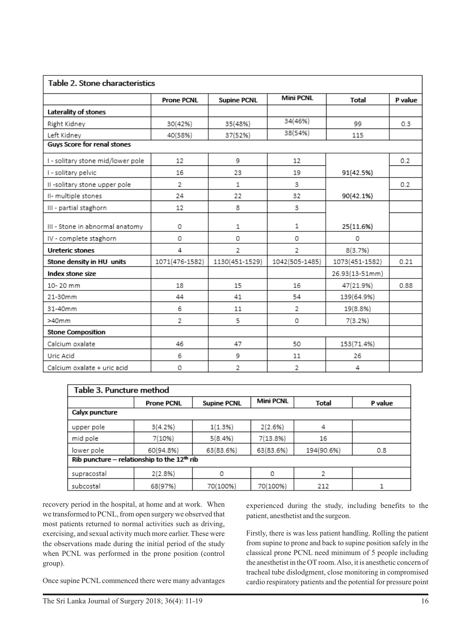| Table 2. Stone characteristics    |                   |                    |                  |                |         |  |  |  |
|-----------------------------------|-------------------|--------------------|------------------|----------------|---------|--|--|--|
|                                   | <b>Prone PCNL</b> | <b>Supine PCNL</b> | <b>Mini PCNL</b> | <b>Total</b>   | P value |  |  |  |
| Laterality of stones              |                   |                    |                  |                |         |  |  |  |
| Right Kidney                      | 30(42%)           | 35(48%)            | 34(46%)          | 99             | 0.3     |  |  |  |
| Left Kidney                       | 40(58%)           | 37(52%)            | 38(54%)          | 115            |         |  |  |  |
| Guys Score for renal stones       |                   |                    |                  |                |         |  |  |  |
| I - solitary stone mid/lower pole | 12                | 9                  | 12               |                | 0.2     |  |  |  |
| I - solitary pelvic               | 16                | 23                 | 19               | 91(42.5%)      |         |  |  |  |
| II -solitary stone upper pole     | 2                 | 1                  | 3                |                | 0.2     |  |  |  |
| II- multiple stones               | 24                | 22                 | 32               | 90(42.1%)      |         |  |  |  |
| III - partial staghorn            | 12                | 8                  | 3                |                |         |  |  |  |
| III - Stone in abnormal anatomy   | 0                 | 1                  | 1                | 25(11.6%)      |         |  |  |  |
| IV - complete staghorn            | 0                 | 0                  | 0                | 0              |         |  |  |  |
| <b>Ureteric stones</b>            | 4                 | 2                  | $\overline{2}$   | 8(3.7%)        |         |  |  |  |
| Stone density in HU units         | 1071(476-1582)    | 1130(451-1529)     | 1042(505-1485)   | 1073(451-1582) | 0.21    |  |  |  |
| Index stone size                  |                   |                    |                  | 26.93(13-51mm) |         |  |  |  |
| 10-20 mm                          | 18                | 15                 | 16               | 47(21.9%)      | 0.88    |  |  |  |
| 21-30mm                           | 44                | 41                 | 54               | 139(64.9%)     |         |  |  |  |
| 31-40mm                           | 6                 | 11                 | 2                | 19(8.8%)       |         |  |  |  |
| $>40$ mm                          | 2                 | 5                  | 0                | 7(3.2%)        |         |  |  |  |
| <b>Stone Composition</b>          |                   |                    |                  |                |         |  |  |  |
| Calcium oxalate                   | 46                | 47                 | 50               | 153(71.4%)     |         |  |  |  |
| Uric Acid                         | 6                 | 9                  | 11               | 26             |         |  |  |  |
| Calcium oxalate + uric acid       | 0                 | 2                  | 2                | 4              |         |  |  |  |

| Table 3. Puncture method                                |                   |                    |                  |              |         |  |  |  |
|---------------------------------------------------------|-------------------|--------------------|------------------|--------------|---------|--|--|--|
|                                                         | <b>Prone PCNL</b> | <b>Supine PCNL</b> | <b>Mini PCNL</b> | <b>Total</b> | P value |  |  |  |
| Calyx puncture                                          |                   |                    |                  |              |         |  |  |  |
| upper pole                                              | 3(4.2%            | 1(1.3%)            | 2(2.6%)          | 4            |         |  |  |  |
| mid pole                                                | 7(10%)            | 5(8.4%)            | 7(13.8%)         | 16           |         |  |  |  |
| lower pole                                              | 60(94.8%)         | 63(83.6%)          | 63(83.6%)        | 194(90.6%)   | 0.8     |  |  |  |
| Rib puncture - relationship to the 12 <sup>th</sup> rib |                   |                    |                  |              |         |  |  |  |
| supracostal                                             | 2(2.8%)           | 0                  | 0                | 2            |         |  |  |  |
| subcostal                                               | 68(97%)           | 70(100%)           | 70(100%)         | 212          |         |  |  |  |

recovery period in the hospital, at home and at work. When we transformed to PCNL, from open surgery we observed that most patients returned to normal activities such as driving, exercising, and sexual activity much more earlier. These were the observations made during the initial period of the study when PCNL was performed in the prone position (control group).

Once supine PCNL commenced there were many advantages

experienced during the study, including benefits to the patient, anesthetist and the surgeon.

Firstly, there is was less patient handling. Rolling the patient from supine to prone and back to supine position safely in the classical prone PCNL need minimum of 5 people including the anesthetist in the OT room. Also, it is anesthetic concern of tracheal tube dislodgment, close monitoring in compromised cardio respiratory patients and the potential for pressure point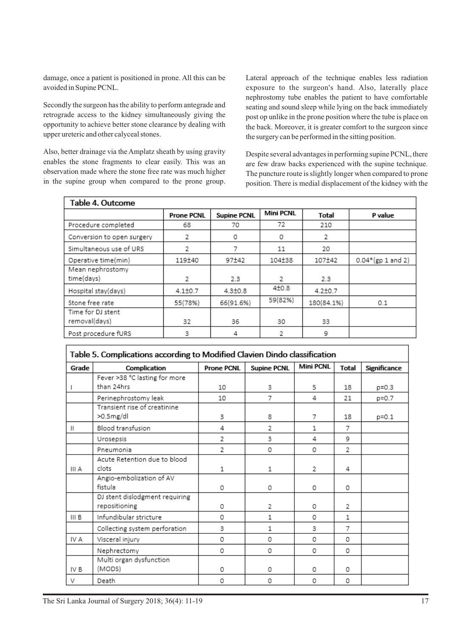damage, once a patient is positioned in prone. All this can be avoided in Supine PCNL.

Secondly the surgeon has the ability to perform antegrade and retrograde access to the kidney simultaneously giving the opportunity to achieve better stone clearance by dealing with upper ureteric and other calyceal stones.

Also, better drainage via the Amplatz sheath by using gravity enables the stone fragments to clear easily. This was an observation made where the stone free rate was much higher in the supine group when compared to the prone group.

Lateral approach of the technique enables less radiation exposure to the surgeon's hand. Also, laterally place nephrostomy tube enables the patient to have comfortable seating and sound sleep while lying on the back immediately post op unlike in the prone position where the tube is place on the back. Moreover, it is greater comfort to the surgeon since the surgery can be performed in the sitting position.

Despite several advantages in performing supine PCNL, there are few draw backs experienced with the supine technique. The puncture route is slightly longer when compared to prone position. There is medial displacement of the kidney with the

|                                    | <b>Prone PCNL</b> | <b>Supine PCNL</b> | <b>Mini PCNL</b> | <b>Total</b>  | P value             |
|------------------------------------|-------------------|--------------------|------------------|---------------|---------------------|
| Procedure completed                | 68                | 70                 | 72               | 210           |                     |
| Conversion to open surgery         | 2                 | 0                  | 0                | 2             |                     |
| Simultaneous use of URS            | 2                 |                    | 11               | 20            |                     |
| Operative time(min)                | 119±40            | 97±42              | 104±38           | 107±42        | $0.04*(gp 1 and 2)$ |
| Mean nephrostomy<br>time(days)     | 2                 | 2.3                | 2                | 2.3           |                     |
| Hospital stay(days)                | $4.1 \pm 0.7$     | $4.3{\pm}0.8$      | $4+0.8$          | $4.2 \pm 0.7$ |                     |
| Stone free rate                    | 55(78%)           | 66(91.6%)          | 59(82%)          | 180(84.1%)    | 0.1                 |
| Time for DJ stent<br>removal(days) | 32                | 36                 | 30               | 33            |                     |
| Post procedure fURS                | 3                 | 4                  |                  | 9             |                     |

| Table 5. Complications according to Modified Clavien Dindo classification |                                |                   |                    |                  |                |              |  |
|---------------------------------------------------------------------------|--------------------------------|-------------------|--------------------|------------------|----------------|--------------|--|
| Grade                                                                     | Complication                   | <b>Prone PCNL</b> | <b>Supine PCNL</b> | <b>Mini PCNL</b> | <b>Total</b>   | Significance |  |
|                                                                           | Fever >38 °C lasting for more  |                   |                    |                  |                |              |  |
|                                                                           | than 24hrs                     | 10                | 3                  | 5                | 18             | p=0.3        |  |
|                                                                           | Perinephrostomy leak           | 10                | 7                  | 4                | 21             | p=0.7        |  |
|                                                                           | Transient rise of creatinine   |                   |                    |                  |                |              |  |
|                                                                           | >0.5mg/dl                      | 3                 | 8                  | 7                | 18             | $p = 0.1$    |  |
| $\mathbf{H}$                                                              | Blood transfusion              | 4                 | $\overline{2}$     | 1                | 7              |              |  |
|                                                                           | Urosepsis                      | 2                 | 3                  | 4                | 9              |              |  |
|                                                                           | Pneumonia                      | 2                 | 0                  | 0                | $\overline{2}$ |              |  |
|                                                                           | Acute Retention due to blood   |                   |                    |                  |                |              |  |
| III A                                                                     | clots                          | 1                 | 1                  | 2                | 4              |              |  |
|                                                                           | Angio-embolization of AV       |                   |                    |                  |                |              |  |
|                                                                           | fistula                        | 0                 | 0                  | 0                | 0              |              |  |
|                                                                           | DJ stent dislodgment requiring |                   |                    |                  |                |              |  |
|                                                                           | repositioning                  | 0                 | 2                  | 0                | 2              |              |  |
| III B                                                                     | Infundibular stricture         | 0                 | 1                  | 0                | 1              |              |  |
|                                                                           | Collecting system perforation  | 3                 | 1                  | 3                | 7              |              |  |
| IV A                                                                      | Visceral injury                | 0                 | 0                  | 0                | 0              |              |  |
|                                                                           | Nephrectomy                    | 0                 | 0                  | 0                | 0              |              |  |
|                                                                           | Multi organ dysfunction        |                   |                    |                  |                |              |  |
| IV B                                                                      | (MODS)                         | 0                 | 0                  | 0                | 0              |              |  |
| V                                                                         | Death                          | 0                 | 0                  | 0                | 0              |              |  |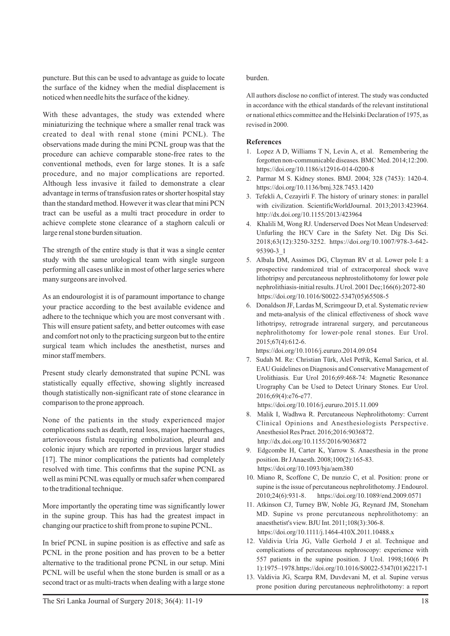puncture. But this can be used to advantage as guide to locate the surface of the kidney when the medial displacement is noticed when needle hits the surface of the kidney.

With these advantages, the study was extended where miniaturizing the technique where a smaller renal track was created to deal with renal stone (mini PCNL). The observations made during the mini PCNL group was that the procedure can achieve comparable stone-free rates to the conventional methods, even for large stones. It is a safe procedure, and no major complications are reported. Although less invasive it failed to demonstrate a clear advantage in terms of transfusion rates or shorter hospital stay than the standard method. However it was clear that mini PCN tract can be useful as a multi tract procedure in order to achieve complete stone clearance of a staghorn calculi or large renal stone burden situation.

The strength of the entire study is that it was a single center study with the same urological team with single surgeon performing all cases unlike in most of other large series where many surgeons are involved.

As an endourologist it is of paramount importance to change your practice according to the best available evidence and adhere to the technique which you are most conversant with . This will ensure patient safety, and better outcomes with ease and comfort not only to the practicing surgeon but to the entire surgical team which includes the anesthetist, nurses and minor staff members.

Present study clearly demonstrated that supine PCNL was statistically equally effective, showing slightly increased though statistically non-significant rate of stone clearance in comparison to the prone approach.

None of the patients in the study experienced major complications such as death, renal loss, major haemorrhages, arterioveous fistula requiring embolization, pleural and colonic injury which are reported in previous larger studies [17]. The minor complications the patients had completely resolved with time. This confirms that the supine PCNL as well as mini PCNLwas equally or much safer when compared to the traditional technique.

More importantly the operating time was significantly lower in the supine group. This has had the greatest impact in changing our practice to shift from prone to supine PCNL.

In brief PCNL in supine position is as effective and safe as PCNL in the prone position and has proven to be a better alternative to the traditional prone PCNL in our setup. Mini PCNL will be useful when the stone burden is small or as a second tract or as multi-tracts when dealing with a large stone

#### burden.

All authors disclose no conflict of interest. The study was conducted in accordance with the ethical standards of the relevant institutional or national ethics committee and the Helsinki Declaration of 1975, as revised in 2000.

#### **References**

- 1. Lopez A D, Williams T N, Levin A, et al. Remembering the forgotten non-communicable diseases. BMC Med. 2014;12:200. https://doi.org/10.1186/s12916-014-0200-8
- 2. Parmar M S. Kidney stones. BMJ. 2004; 328 (7453): 1420-4. https://doi.org/10.1136/bmj.328.7453.1420
- 3. Tefekli A, Cezayirli F. The history of urinary stones: in parallel with civilization. ScientificWorldJournal. 2013;2013:423964. http://dx.doi.org/10.1155/2013/423964
- 4. Khalili M, Wong RJ. Underserved Does Not Mean Undeserved: Unfurling the HCV Care in the Safety Net. Dig Dis Sci. 2018;63(12):3250-3252. https://doi.org/10.1007/978-3-642- 95390-3\_1
- 5. Albala DM, Assimos DG, Clayman RV et al. Lower pole I: a prospective randomized trial of extracorporeal shock wave lithotripsy and percutaneous nephrostolithotomy for lower pole nephrolithiasis-initial results. J Urol. 2001 Dec;166(6):2072-80 https://doi.org/10.1016/S0022-5347(05)65508-5
- 6. Donaldson JF, Lardas M, Scrimgeour D, et al. Systematic review and meta-analysis of the clinical effectiveness of shock wave lithotripsy, retrograde intrarenal surgery, and percutaneous nephrolithotomy for lower-pole renal stones. Eur Urol. 2015;67(4):612-6.

https://doi.org/10.1016/j.eururo.2014.09.054

7. Sudah M. Re: Christian Türk, Aleš Petřík, Kemal Sarica, et al. EAU Guidelines on Diagnosis and Conservative Management of Urolithiasis. Eur Urol 2016;69:468-74: Magnetic Resonance Urography Can be Used to Detect Urinary Stones. Eur Urol. 2016;69(4):e76-e77.

https://doi.org/10.1016/j.eururo.2015.11.009

- 8. Malik I, Wadhwa R. Percutaneous Nephrolithotomy: Current Clinical Opinions and Anesthesiologists Perspective. Anesthesiol Res Pract. 2016;2016:9036872. http://dx.doi.org/10.1155/2016/9036872
- 9. Edgcombe H, Carter K, Yarrow S. Anaesthesia in the prone position. Br J Anaesth. 2008;100(2):165-83. https://doi.org/10.1093/bja/aem380
- 10. Miano R, Scoffone C, De nunzio C, et al. Position: prone or supine is the issue of percutaneous nephrolithotomy. J Endourol. 2010;24(6):931-8. https://doi.org/10.1089/end.2009.0571
- 11. Atkinson CJ, Turney BW, Noble JG, Reynard JM, Stoneham MD. Supine vs prone percutaneous nephrolithotomy: an anaesthetist's view. BJU Int. 2011;108(3):306-8. https://doi.org/10.1111/j.1464-410X.2011.10488.x
- 12. Valdivia Uría JG, Valle Gerhold J et al. Technique and complications of percutaneous nephroscopy: experience with 557 patients in the supine position. J Urol. 1998;160(6 Pt 1):1975–1978.https://doi.org/10.1016/S0022-5347(01)62217-1
- 13. Valdivia JG, Scarpa RM, Duvdevani M, et al. Supine versus prone position during percutaneous nephrolithotomy: a report